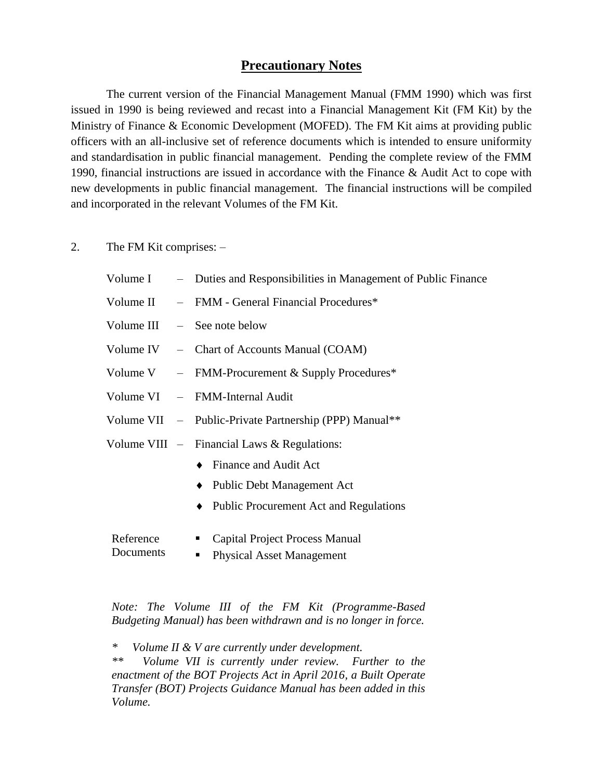## **Precautionary Notes**

The current version of the Financial Management Manual (FMM 1990) which was first issued in 1990 is being reviewed and recast into a Financial Management Kit (FM Kit) by the Ministry of Finance & Economic Development (MOFED). The FM Kit aims at providing public officers with an all-inclusive set of reference documents which is intended to ensure uniformity and standardisation in public financial management. Pending the complete review of the FMM 1990, financial instructions are issued in accordance with the Finance & Audit Act to cope with new developments in public financial management. The financial instructions will be compiled and incorporated in the relevant Volumes of the FM Kit.

2. The FM Kit comprises: –

| Volume I  | - Duties and Responsibilities in Management of Public Finance |  |  |
|-----------|---------------------------------------------------------------|--|--|
| Volume II | - FMM - General Financial Procedures*                         |  |  |
|           | Volume III $-$ See note below                                 |  |  |
|           | Volume IV – Chart of Accounts Manual (COAM)                   |  |  |
|           | Volume V $-$ FMM-Procurement & Supply Procedures*             |  |  |
|           | Volume VI – FMM-Internal Audit                                |  |  |
|           | Volume VII - Public-Private Partnership (PPP) Manual**        |  |  |
|           | Volume VIII $-$ Financial Laws & Regulations:                 |  |  |
|           | Finance and Audit Act                                         |  |  |
|           | <b>Public Debt Management Act</b>                             |  |  |
|           | <b>Public Procurement Act and Regulations</b><br>٠            |  |  |
| Reference | Capital Project Process Manual<br>$\blacksquare$              |  |  |
| Documents | <b>Physical Asset Management</b><br>$\blacksquare$            |  |  |

*Note: The Volume III of the FM Kit (Programme-Based Budgeting Manual) has been withdrawn and is no longer in force.*

*\* Volume II & V are currently under development.*

*\*\* Volume VII is currently under review. Further to the enactment of the BOT Projects Act in April 2016, a Built Operate Transfer (BOT) Projects Guidance Manual has been added in this Volume.*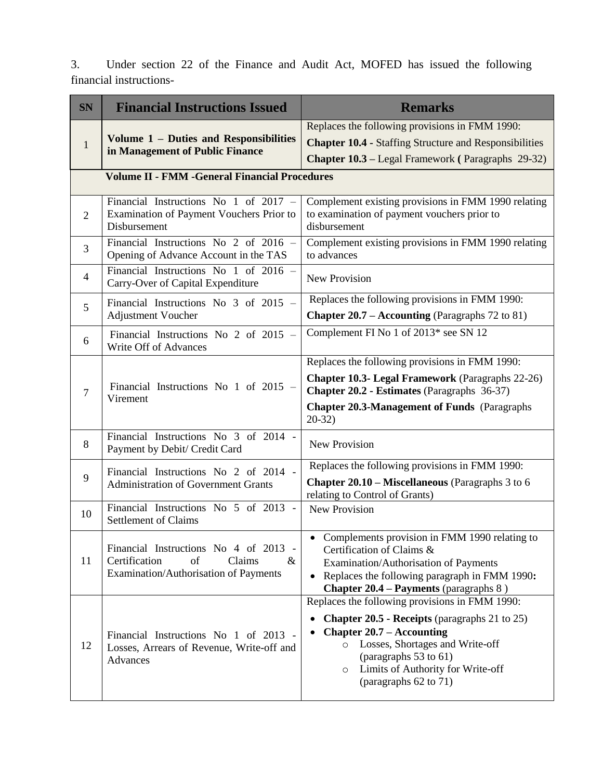3. Under section 22 of the Finance and Audit Act, MOFED has issued the following financial instructions-

| <b>SN</b>                                             | <b>Financial Instructions Issued</b>                                                                                    | <b>Remarks</b>                                                                                                                                                                                                                                                                                               |  |  |  |
|-------------------------------------------------------|-------------------------------------------------------------------------------------------------------------------------|--------------------------------------------------------------------------------------------------------------------------------------------------------------------------------------------------------------------------------------------------------------------------------------------------------------|--|--|--|
|                                                       |                                                                                                                         | Replaces the following provisions in FMM 1990:                                                                                                                                                                                                                                                               |  |  |  |
| $\mathbf{1}$                                          | Volume 1 - Duties and Responsibilities<br>in Management of Public Finance                                               | <b>Chapter 10.4 - Staffing Structure and Responsibilities</b>                                                                                                                                                                                                                                                |  |  |  |
|                                                       |                                                                                                                         | <b>Chapter 10.3 – Legal Framework (Paragraphs 29-32)</b>                                                                                                                                                                                                                                                     |  |  |  |
| <b>Volume II - FMM - General Financial Procedures</b> |                                                                                                                         |                                                                                                                                                                                                                                                                                                              |  |  |  |
| $\overline{2}$                                        | Financial Instructions No 1 of 2017 -<br>Examination of Payment Vouchers Prior to<br>Disbursement                       | Complement existing provisions in FMM 1990 relating<br>to examination of payment vouchers prior to<br>disbursement                                                                                                                                                                                           |  |  |  |
| 3                                                     | Financial Instructions No 2 of $2016$ -<br>Opening of Advance Account in the TAS                                        | Complement existing provisions in FMM 1990 relating<br>to advances                                                                                                                                                                                                                                           |  |  |  |
| $\overline{4}$                                        | Financial Instructions No 1 of $2016$ –<br>Carry-Over of Capital Expenditure                                            | <b>New Provision</b>                                                                                                                                                                                                                                                                                         |  |  |  |
| 5                                                     | Financial Instructions No $3$ of 2015 –                                                                                 | Replaces the following provisions in FMM 1990:                                                                                                                                                                                                                                                               |  |  |  |
|                                                       | <b>Adjustment Voucher</b>                                                                                               | <b>Chapter 20.7 – Accounting</b> (Paragraphs 72 to 81)                                                                                                                                                                                                                                                       |  |  |  |
| 6                                                     | Financial Instructions No 2 of $2015$ -<br>Write Off of Advances                                                        | Complement FI No 1 of 2013* see SN 12                                                                                                                                                                                                                                                                        |  |  |  |
| $\overline{7}$                                        |                                                                                                                         | Replaces the following provisions in FMM 1990:                                                                                                                                                                                                                                                               |  |  |  |
|                                                       | Financial Instructions No 1 of 2015 -<br>Virement                                                                       | <b>Chapter 10.3- Legal Framework</b> (Paragraphs 22-26)<br>Chapter 20.2 - Estimates (Paragraphs 36-37)                                                                                                                                                                                                       |  |  |  |
|                                                       |                                                                                                                         | <b>Chapter 20.3-Management of Funds (Paragraphs)</b><br>$20-32)$                                                                                                                                                                                                                                             |  |  |  |
| 8                                                     | Financial Instructions No 3 of 2014 -<br>Payment by Debit/ Credit Card                                                  | <b>New Provision</b>                                                                                                                                                                                                                                                                                         |  |  |  |
|                                                       | Financial Instructions No 2 of 2014 -                                                                                   | Replaces the following provisions in FMM 1990:                                                                                                                                                                                                                                                               |  |  |  |
| 9                                                     | <b>Administration of Government Grants</b>                                                                              | <b>Chapter 20.10 – Miscellaneous</b> (Paragraphs 3 to 6<br>relating to Control of Grants)                                                                                                                                                                                                                    |  |  |  |
| 10                                                    | Financial Instructions No 5 of 2013 -<br><b>Settlement of Claims</b>                                                    | <b>New Provision</b>                                                                                                                                                                                                                                                                                         |  |  |  |
| 11                                                    | Financial Instructions No 4 of 2013 -<br>Certification<br>of<br>Claims<br>$\&$<br>Examination/Authorisation of Payments | Complements provision in FMM 1990 relating to<br>Certification of Claims &<br>Examination/Authorisation of Payments<br>Replaces the following paragraph in FMM 1990:<br>$\bullet$<br><b>Chapter 20.4 – Payments (paragraphs 8)</b>                                                                           |  |  |  |
| 12                                                    | Financial Instructions No 1 of 2013<br>Losses, Arrears of Revenue, Write-off and<br>Advances                            | Replaces the following provisions in FMM 1990:<br><b>Chapter 20.5 - Receipts (paragraphs 21 to 25)</b><br><b>Chapter 20.7 – Accounting</b><br>$\bullet$<br>Losses, Shortages and Write-off<br>$\circ$<br>(paragraphs $53$ to $61$ )<br>Limits of Authority for Write-off<br>$\circ$<br>(paragraphs 62 to 71) |  |  |  |